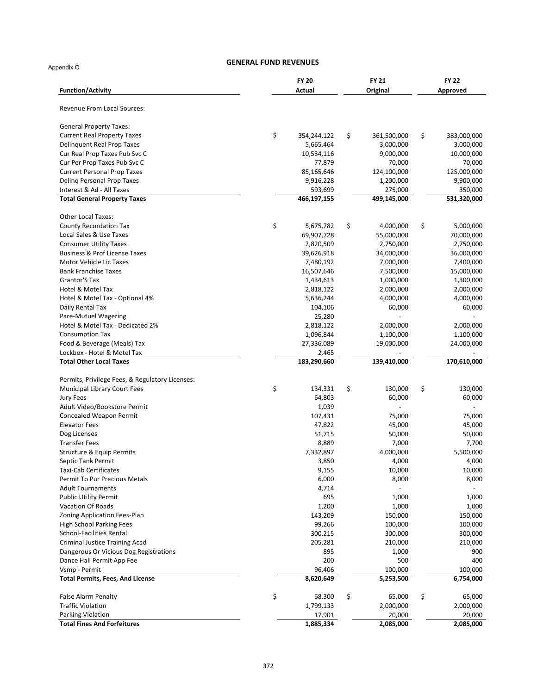Appendix C

| Revenue From Local Sources:<br><b>General Property Taxes:</b><br><b>Current Real Property Taxes</b><br><b>Delinquent Real Prop Taxes</b><br>Cur Real Prop Taxes Pub Svc C<br>Cur Per Prop Taxes Pub Svc C | \$<br>354,244,122<br>5,665,464<br>10,534,116<br>77,879<br>85,165,646<br>9,916,228<br>593,699<br>466,197,155 | \$<br>361,500,000<br>3,000,000<br>9,000,000<br>70,000 | \$<br>383,000,000<br>3,000,000 |
|-----------------------------------------------------------------------------------------------------------------------------------------------------------------------------------------------------------|-------------------------------------------------------------------------------------------------------------|-------------------------------------------------------|--------------------------------|
|                                                                                                                                                                                                           |                                                                                                             |                                                       |                                |
|                                                                                                                                                                                                           |                                                                                                             |                                                       |                                |
|                                                                                                                                                                                                           |                                                                                                             |                                                       |                                |
|                                                                                                                                                                                                           |                                                                                                             |                                                       |                                |
|                                                                                                                                                                                                           |                                                                                                             |                                                       | 10,000,000                     |
|                                                                                                                                                                                                           |                                                                                                             |                                                       | 70,000                         |
| <b>Current Personal Prop Taxes</b>                                                                                                                                                                        |                                                                                                             | 124,100,000                                           | 125,000,000                    |
| Deling Personal Prop Taxes                                                                                                                                                                                |                                                                                                             | 1,200,000                                             | 9,900,000                      |
| Interest & Ad - All Taxes<br><b>Total General Property Taxes</b>                                                                                                                                          |                                                                                                             | 275,000<br>499,145,000                                | 350,000<br>531,320,000         |
|                                                                                                                                                                                                           |                                                                                                             |                                                       |                                |
| <b>Other Local Taxes:</b>                                                                                                                                                                                 |                                                                                                             |                                                       |                                |
| <b>County Recordation Tax</b>                                                                                                                                                                             | \$<br>5,675,782                                                                                             | \$<br>4,000,000                                       | \$<br>5,000,000                |
| Local Sales & Use Taxes                                                                                                                                                                                   | 69,907,728                                                                                                  | 55,000,000                                            | 70,000,000                     |
| <b>Consumer Utility Taxes</b>                                                                                                                                                                             | 2,820,509                                                                                                   | 2,750,000                                             | 2,750,000                      |
| <b>Business &amp; Prof License Taxes</b>                                                                                                                                                                  | 39,626,918                                                                                                  | 34,000,000                                            | 36,000,000                     |
| Motor Vehicle Lic Taxes                                                                                                                                                                                   | 7,480,192                                                                                                   | 7,000,000                                             | 7,400,000                      |
| <b>Bank Franchise Taxes</b>                                                                                                                                                                               | 16,507,646                                                                                                  | 7,500,000                                             | 15,000,000                     |
| Grantor'S Tax                                                                                                                                                                                             | 1,434,613                                                                                                   | 1,000,000                                             | 1,300,000                      |
| Hotel & Motel Tax                                                                                                                                                                                         | 2,818,122                                                                                                   | 2,000,000                                             | 2,000,000                      |
| Hotel & Motel Tax - Optional 4%                                                                                                                                                                           | 5,636,244                                                                                                   | 4,000,000                                             | 4,000,000                      |
| Daily Rental Tax                                                                                                                                                                                          | 104,106                                                                                                     | 60,000                                                | 60,000                         |
| Pare-Mutuel Wagering                                                                                                                                                                                      | 25,280                                                                                                      |                                                       |                                |
| Hotel & Motel Tax - Dedicated 2%                                                                                                                                                                          | 2,818,122                                                                                                   | 2,000,000                                             | 2,000,000                      |
| <b>Consumption Tax</b>                                                                                                                                                                                    | 1,096,844                                                                                                   | 1,100,000                                             | 1,100,000                      |
| Food & Beverage (Meals) Tax                                                                                                                                                                               | 27,336,089                                                                                                  | 19,000,000                                            | 24,000,000                     |
| Lockbox - Hotel & Motel Tax<br><b>Total Other Local Taxes</b>                                                                                                                                             | 2,465<br>183,290,660                                                                                        | 139,410,000                                           | 170,610,000                    |
|                                                                                                                                                                                                           |                                                                                                             |                                                       |                                |
| Permits, Privilege Fees, & Regulatory Licenses:                                                                                                                                                           |                                                                                                             |                                                       |                                |
| Municipal Library Court Fees                                                                                                                                                                              | \$<br>134,331                                                                                               | \$<br>130,000                                         | \$<br>130,000                  |
| Jury Fees                                                                                                                                                                                                 | 64,803                                                                                                      | 60,000                                                | 60,000                         |
| Adult Video/Bookstore Permit                                                                                                                                                                              | 1,039                                                                                                       |                                                       |                                |
| Concealed Weapon Permit                                                                                                                                                                                   | 107,431                                                                                                     | 75,000                                                | 75,000                         |
| <b>Elevator Fees</b><br>Dog Licenses                                                                                                                                                                      | 47,822<br>51,715                                                                                            | 45,000<br>50,000                                      | 45,000<br>50,000               |
| <b>Transfer Fees</b>                                                                                                                                                                                      | 8,889                                                                                                       | 7,000                                                 | 7,700                          |
| Structure & Equip Permits                                                                                                                                                                                 | 7,332,897                                                                                                   | 4,000,000                                             | 5,500,000                      |
| Septic Tank Permit                                                                                                                                                                                        | 3,850                                                                                                       | 4,000                                                 | 4,000                          |
| Taxi-Cab Certificates                                                                                                                                                                                     | 9,155                                                                                                       | 10,000                                                | 10,000                         |
| Permit To Pur Precious Metals                                                                                                                                                                             | 6,000                                                                                                       | 8,000                                                 | 8,000                          |
| <b>Adult Tournaments</b>                                                                                                                                                                                  | 4,714                                                                                                       |                                                       |                                |
| <b>Public Utility Permit</b>                                                                                                                                                                              | 695                                                                                                         | 1,000                                                 | 1,000                          |
| Vacation Of Roads                                                                                                                                                                                         | 1,200                                                                                                       | 1,000                                                 | 1,000                          |
| <b>Zoning Application Fees-Plan</b>                                                                                                                                                                       | 143,209                                                                                                     | 150,000                                               | 150,000                        |
| <b>High School Parking Fees</b>                                                                                                                                                                           | 99,266                                                                                                      | 100,000                                               | 100,000                        |
| <b>School-Facilities Rental</b>                                                                                                                                                                           | 300,215                                                                                                     | 300,000                                               | 300,000                        |
| <b>Criminal Justice Training Acad</b>                                                                                                                                                                     | 205,281                                                                                                     | 210,000                                               | 210,000                        |
| Dangerous Or Vicious Dog Registrations                                                                                                                                                                    | 895                                                                                                         | 1,000                                                 | 900                            |
| Dance Hall Permit App Fee                                                                                                                                                                                 | 200                                                                                                         | 500                                                   | 400                            |
| Vsmp - Permit                                                                                                                                                                                             | 96,406                                                                                                      | 100,000                                               | 100,000                        |
| <b>Total Permits, Fees, And License</b>                                                                                                                                                                   | 8,620,649                                                                                                   | 5,253,500                                             | 6,754,000                      |
| <b>False Alarm Penalty</b>                                                                                                                                                                                | \$<br>68,300                                                                                                | \$<br>65,000                                          | \$<br>65,000                   |
| <b>Traffic Violation</b>                                                                                                                                                                                  | 1,799,133                                                                                                   | 2,000,000                                             | 2,000,000                      |
| Parking Violation                                                                                                                                                                                         | 17,901                                                                                                      | 20,000                                                | 20,000                         |
| <b>Total Fines And Forfeitures</b>                                                                                                                                                                        | 1,885,334                                                                                                   | 2,085,000                                             | 2,085,000                      |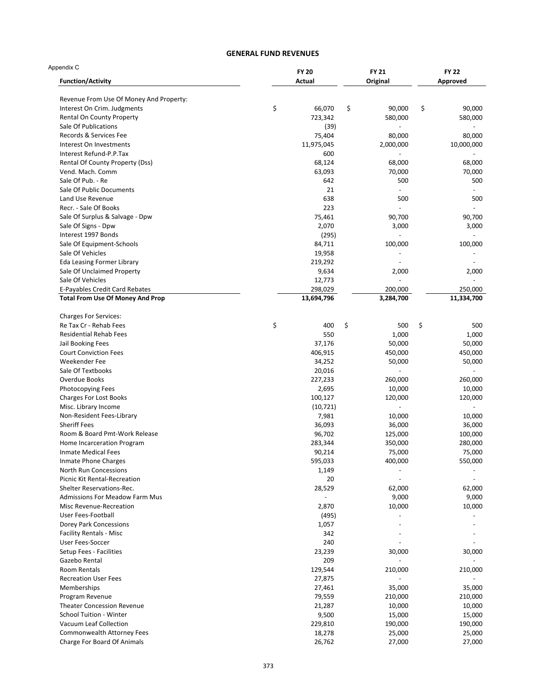| Appendix C                              | <b>FY 20</b> |    | <b>FY 21</b> |    | <b>FY 22</b> |  |
|-----------------------------------------|--------------|----|--------------|----|--------------|--|
| <b>Function/Activity</b>                | Actual       |    | Original     |    | Approved     |  |
| Revenue From Use Of Money And Property: |              |    |              |    |              |  |
| Interest On Crim. Judgments             | \$<br>66,070 | \$ | 90,000       | \$ | 90,000       |  |
| Rental On County Property               | 723,342      |    | 580,000      |    | 580,000      |  |
| Sale Of Publications                    | (39)         |    |              |    |              |  |
| Records & Services Fee                  | 75,404       |    | 80,000       |    | 80,000       |  |
| Interest On Investments                 | 11,975,045   |    | 2,000,000    |    | 10,000,000   |  |
| Interest Refund-P.P.Tax                 | 600          |    |              |    |              |  |
| Rental Of County Property (Dss)         | 68,124       |    | 68,000       |    | 68,000       |  |
| Vend. Mach. Comm                        | 63,093       |    | 70,000       |    | 70,000       |  |
| Sale Of Pub. - Re                       | 642          |    | 500          |    | 500          |  |
| Sale Of Public Documents                | 21           |    |              |    |              |  |
| Land Use Revenue                        | 638          |    | 500          |    | 500          |  |
| Recr. - Sale Of Books                   | 223          |    |              |    |              |  |
| Sale Of Surplus & Salvage - Dpw         | 75,461       |    | 90,700       |    | 90,700       |  |
| Sale Of Signs - Dpw                     | 2,070        |    | 3,000        |    | 3,000        |  |
| Interest 1997 Bonds                     | (295)        |    |              |    |              |  |
|                                         | 84,711       |    | 100,000      |    | 100,000      |  |
| Sale Of Equipment-Schools               |              |    |              |    |              |  |
| Sale Of Vehicles                        | 19,958       |    |              |    |              |  |
| <b>Eda Leasing Former Library</b>       | 219,292      |    |              |    |              |  |
| Sale Of Unclaimed Property              | 9,634        |    | 2,000        |    | 2,000        |  |
| Sale Of Vehicles                        | 12,773       |    |              |    |              |  |
| E-Payables Credit Card Rebates          | 298,029      |    | 200,000      |    | 250,000      |  |
| <b>Total From Use Of Money And Prop</b> | 13,694,796   |    | 3,284,700    |    | 11,334,700   |  |
| <b>Charges For Services:</b>            |              |    |              |    |              |  |
| Re Tax Cr - Rehab Fees                  | \$<br>400    | \$ | 500          | \$ | 500          |  |
| <b>Residential Rehab Fees</b>           | 550          |    | 1,000        |    | 1,000        |  |
| Jail Booking Fees                       | 37,176       |    | 50,000       |    | 50,000       |  |
| <b>Court Conviction Fees</b>            | 406,915      |    | 450,000      |    | 450,000      |  |
| Weekender Fee                           | 34,252       |    | 50,000       |    | 50,000       |  |
| Sale Of Textbooks                       | 20,016       |    |              |    |              |  |
| Overdue Books                           | 227,233      |    | 260,000      |    | 260,000      |  |
| Photocopying Fees                       | 2,695        |    | 10,000       |    | 10,000       |  |
| Charges For Lost Books                  | 100,127      |    | 120,000      |    | 120,000      |  |
|                                         |              |    |              |    |              |  |
| Misc. Library Income                    | (10, 721)    |    |              |    |              |  |
| Non-Resident Fees-Library               | 7,981        |    | 10,000       |    | 10,000       |  |
| <b>Sheriff Fees</b>                     | 36,093       |    | 36,000       |    | 36,000       |  |
| Room & Board Pmt-Work Release           | 96,702       |    | 125,000      |    | 100,000      |  |
| Home Incarceration Program              | 283,344      |    | 350,000      |    | 280,000      |  |
| <b>Inmate Medical Fees</b>              | 90,214       |    | 75,000       |    | 75,000       |  |
| <b>Inmate Phone Charges</b>             | 595,033      |    | 400,000      |    | 550,000      |  |
| North Run Concessions                   | 1,149        |    |              |    |              |  |
| Picnic Kit Rental-Recreation            | 20           |    |              |    |              |  |
| Shelter Reservations-Rec.               | 28,529       |    | 62,000       |    | 62,000       |  |
| <b>Admissions For Meadow Farm Mus</b>   |              |    | 9,000        |    | 9,000        |  |
| Misc Revenue-Recreation                 | 2,870        |    | 10,000       |    | 10,000       |  |
| User Fees-Football                      | (495)        |    |              |    |              |  |
| Dorey Park Concessions                  | 1,057        |    |              |    |              |  |
| <b>Facility Rentals - Misc</b>          | 342          |    |              |    |              |  |
| User Fees-Soccer                        | 240          |    |              |    |              |  |
| Setup Fees - Facilities                 | 23,239       |    | 30,000       |    | 30,000       |  |
|                                         | 209          |    |              |    |              |  |
| Gazebo Rental                           |              |    |              |    |              |  |
| <b>Room Rentals</b>                     | 129,544      |    | 210,000      |    | 210,000      |  |
| <b>Recreation User Fees</b>             | 27,875       |    |              |    |              |  |
| Memberships                             | 27,461       |    | 35,000       |    | 35,000       |  |
| Program Revenue                         | 79,559       |    | 210,000      |    | 210,000      |  |
| <b>Theater Concession Revenue</b>       | 21,287       |    | 10,000       |    | 10,000       |  |
| <b>School Tuition - Winter</b>          | 9,500        |    | 15,000       |    | 15,000       |  |
| Vacuum Leaf Collection                  | 229,810      |    | 190,000      |    | 190,000      |  |
| Commonwealth Attorney Fees              | 18,278       |    | 25,000       |    | 25,000       |  |
| Charge For Board Of Animals             | 26,762       |    | 27,000       |    | 27,000       |  |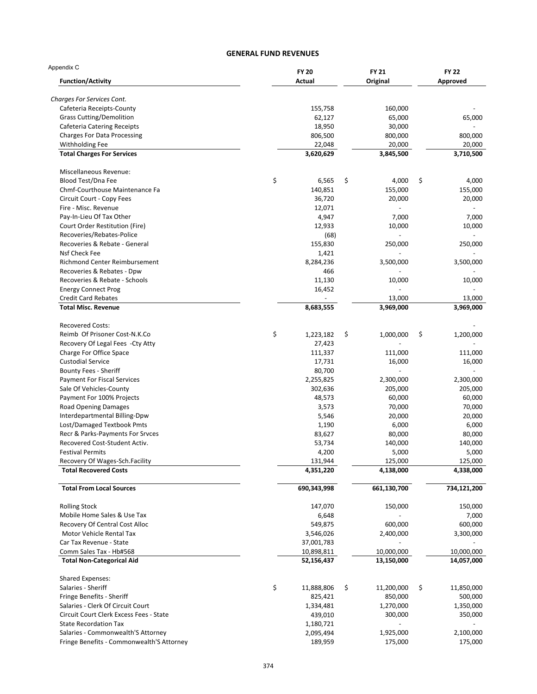| Appendix C                                                     | <b>FY 20</b>         | <b>FY 21</b>         | <b>FY 22</b>         |
|----------------------------------------------------------------|----------------------|----------------------|----------------------|
| <b>Function/Activity</b>                                       | Actual               | Original             | Approved             |
| <b>Charges For Services Cont.</b>                              |                      |                      |                      |
| Cafeteria Receipts-County                                      | 155,758              | 160,000              |                      |
| <b>Grass Cutting/Demolition</b>                                | 62,127               | 65,000               | 65,000               |
| Cafeteria Catering Receipts                                    | 18,950               | 30,000               |                      |
| <b>Charges For Data Processing</b>                             | 806,500              | 800,000              | 800,000              |
| Withholding Fee                                                | 22,048               | 20,000               | 20,000               |
| <b>Total Charges For Services</b>                              | 3,620,629            | 3,845,500            | 3,710,500            |
| Miscellaneous Revenue:                                         |                      |                      |                      |
| Blood Test/Dna Fee                                             | \$<br>6,565          | \$<br>4,000          | \$<br>4,000          |
| Chmf-Courthouse Maintenance Fa                                 | 140,851              | 155,000              | 155,000              |
| Circuit Court - Copy Fees                                      | 36,720               | 20,000               | 20,000               |
| Fire - Misc. Revenue                                           | 12,071               |                      |                      |
| Pay-In-Lieu Of Tax Other                                       | 4,947                | 7,000                | 7,000                |
| Court Order Restitution (Fire)                                 | 12,933               | 10,000               | 10,000               |
| Recoveries/Rebates-Police                                      | (68)                 |                      |                      |
| Recoveries & Rebate - General                                  | 155,830              | 250,000              | 250,000              |
| Nsf Check Fee                                                  | 1,421                |                      |                      |
| Richmond Center Reimbursement                                  | 8,284,236            | 3,500,000            | 3,500,000            |
| Recoveries & Rebates - Dpw                                     | 466                  |                      |                      |
| Recoveries & Rebate - Schools                                  | 11,130               | 10,000               | 10,000               |
| <b>Energy Connect Prog</b><br><b>Credit Card Rebates</b>       | 16,452               | 13,000               | 13,000               |
| <b>Total Misc. Revenue</b>                                     | 8,683,555            | 3,969,000            | 3,969,000            |
| <b>Recovered Costs:</b>                                        |                      |                      |                      |
| Reimb Of Prisoner Cost-N.K.Co                                  | \$<br>1,223,182      | \$<br>1,000,000      | \$<br>1,200,000      |
| Recovery Of Legal Fees - Cty Atty                              | 27,423               |                      |                      |
| Charge For Office Space                                        | 111,337              | 111,000              | 111,000              |
| <b>Custodial Service</b>                                       | 17,731               | 16,000               | 16,000               |
| Bounty Fees - Sheriff                                          | 80,700               |                      |                      |
| <b>Payment For Fiscal Services</b>                             | 2,255,825            | 2,300,000            | 2,300,000            |
| Sale Of Vehicles-County                                        | 302,636              | 205,000              | 205,000              |
| Payment For 100% Projects                                      | 48,573               | 60,000               | 60,000               |
| <b>Road Opening Damages</b>                                    | 3,573                | 70,000               | 70,000               |
| Interdepartmental Billing-Dpw                                  | 5,546                | 20,000               | 20,000               |
| Lost/Damaged Textbook Pmts                                     | 1,190                | 6,000                | 6,000                |
| Recr & Parks-Payments For Srvces                               | 83,627               | 80,000               | 80,000               |
| Recovered Cost-Student Activ.                                  | 53,734               | 140,000              | 140,000              |
| <b>Festival Permits</b>                                        | 4,200                | 5,000                | 5,000                |
| Recovery Of Wages-Sch.Facility<br><b>Total Recovered Costs</b> | 131,944<br>4,351,220 | 125,000<br>4,138,000 | 125,000<br>4,338,000 |
|                                                                |                      |                      |                      |
| <b>Total From Local Sources</b>                                | 690,343,998          | 661,130,700          | 734,121,200          |
| <b>Rolling Stock</b>                                           | 147,070              | 150,000              | 150,000              |
| Mobile Home Sales & Use Tax                                    | 6,648                |                      | 7,000                |
| Recovery Of Central Cost Alloc                                 | 549,875              | 600,000              | 600,000              |
| Motor Vehicle Rental Tax                                       | 3,546,026            | 2,400,000            | 3,300,000            |
| Car Tax Revenue - State                                        | 37,001,783           |                      |                      |
| Comm Sales Tax - Hb#568                                        | 10,898,811           | 10,000,000           | 10,000,000           |
| <b>Total Non-Categorical Aid</b>                               | 52,156,437           | 13,150,000           | 14,057,000           |
| <b>Shared Expenses:</b>                                        |                      |                      |                      |
| Salaries - Sheriff                                             | \$<br>11,888,806     | \$<br>11,200,000     | \$<br>11,850,000     |
| Fringe Benefits - Sheriff                                      | 825,421              | 850,000              | 500,000              |
| Salaries - Clerk Of Circuit Court                              | 1,334,481            | 1,270,000            | 1,350,000            |
| Circuit Court Clerk Excess Fees - State                        | 439,010              | 300,000              | 350,000              |
| <b>State Recordation Tax</b>                                   | 1,180,721            |                      |                      |
| Salaries - Commonwealth'S Attorney                             | 2,095,494            | 1,925,000            | 2,100,000            |
| Fringe Benefits - Commonwealth'S Attorney                      | 189,959              | 175,000              | 175,000              |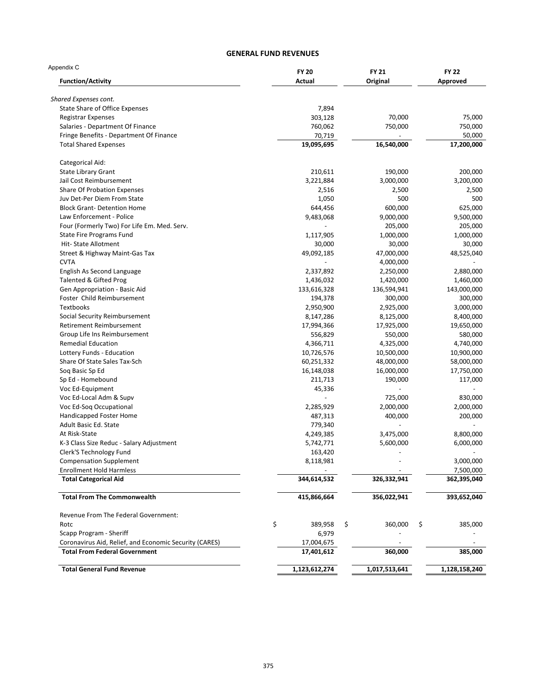| Appendix C                                             | <b>FY 20</b><br>Actual | <b>FY 21</b><br>Original | <b>FY 22</b><br>Approved |
|--------------------------------------------------------|------------------------|--------------------------|--------------------------|
| <b>Function/Activity</b>                               |                        |                          |                          |
| Shared Expenses cont.                                  |                        |                          |                          |
| State Share of Office Expenses                         | 7,894                  |                          |                          |
| <b>Registrar Expenses</b>                              | 303,128                | 70,000                   | 75,000                   |
| Salaries - Department Of Finance                       | 760,062                | 750,000                  | 750,000                  |
| Fringe Benefits - Department Of Finance                | 70,719                 |                          | 50,000                   |
| <b>Total Shared Expenses</b>                           | 19,095,695             | 16,540,000               | 17,200,000               |
| Categorical Aid:                                       |                        |                          |                          |
| <b>State Library Grant</b>                             | 210,611                | 190,000                  | 200,000                  |
| Jail Cost Reimbursement                                | 3,221,884              | 3,000,000                | 3,200,000                |
| <b>Share Of Probation Expenses</b>                     | 2,516                  | 2,500                    | 2,500                    |
| Juv Det-Per Diem From State                            | 1,050                  | 500                      | 500                      |
| <b>Block Grant-Detention Home</b>                      | 644,456                | 600,000                  | 625,000                  |
| Law Enforcement - Police                               | 9,483,068              | 9,000,000                | 9,500,000                |
| Four (Formerly Two) For Life Em. Med. Serv.            |                        | 205,000                  | 205,000                  |
| <b>State Fire Programs Fund</b>                        | 1,117,905              | 1,000,000                | 1,000,000                |
| Hit-State Allotment                                    | 30,000                 | 30,000                   | 30,000                   |
| Street & Highway Maint-Gas Tax                         | 49,092,185             | 47,000,000               | 48,525,040               |
| <b>CVTA</b>                                            |                        | 4,000,000                |                          |
| English As Second Language                             | 2,337,892              | 2,250,000                | 2,880,000                |
| <b>Talented &amp; Gifted Prog</b>                      | 1,436,032              | 1,420,000                | 1,460,000                |
| Gen Appropriation - Basic Aid                          | 133,616,328            |                          | 143,000,000              |
| Foster Child Reimbursement                             |                        | 136,594,941              |                          |
|                                                        | 194,378                | 300,000                  | 300,000                  |
| <b>Textbooks</b>                                       | 2,950,900              | 2,925,000                | 3,000,000                |
| Social Security Reimbursement                          | 8,147,286              | 8,125,000                | 8,400,000                |
| Retirement Reimbursement                               | 17,994,366             | 17,925,000               | 19,650,000               |
| Group Life Ins Reimbursement                           | 556,829                | 550,000                  | 580,000                  |
| <b>Remedial Education</b>                              | 4,366,711              | 4,325,000                | 4,740,000                |
| Lottery Funds - Education                              | 10,726,576             | 10,500,000               | 10,900,000               |
| Share Of State Sales Tax-Sch                           | 60,251,332             | 48,000,000               | 58,000,000               |
| Soq Basic Sp Ed                                        | 16,148,038             | 16,000,000               | 17,750,000               |
| Sp Ed - Homebound                                      | 211,713                | 190,000                  | 117,000                  |
| Voc Ed-Equipment                                       | 45,336                 |                          |                          |
| Voc Ed-Local Adm & Supv                                |                        | 725,000                  | 830,000                  |
| Voc Ed-Soq Occupational                                | 2,285,929              | 2,000,000                | 2,000,000                |
| Handicapped Foster Home                                | 487,313                | 400,000                  | 200,000                  |
| Adult Basic Ed. State                                  | 779,340                |                          |                          |
| At Risk-State                                          | 4,249,385              | 3,475,000                | 8,800,000                |
| K-3 Class Size Reduc - Salary Adjustment               | 5,742,771              | 5,600,000                | 6,000,000                |
| Clerk'S Technology Fund                                | 163,420                | $\overline{\phantom{m}}$ |                          |
| <b>Compensation Supplement</b>                         | 8,118,981              |                          | 3,000,000                |
| <b>Enrollment Hold Harmless</b>                        |                        |                          | 7,500,000                |
| <b>Total Categorical Aid</b>                           | 344,614,532            | 326,332,941              | 362,395,040              |
| <b>Total From The Commonwealth</b>                     | 415,866,664            | 356,022,941              | 393,652,040              |
| Revenue From The Federal Government:                   |                        |                          |                          |
| Rotc                                                   | \$<br>389,958          | \$<br>360,000            | \$<br>385,000            |
| Scapp Program - Sheriff                                | 6,979                  |                          |                          |
| Coronavirus Aid, Relief, and Economic Security (CARES) | 17,004,675             |                          |                          |
|                                                        |                        |                          |                          |
| <b>Total From Federal Government</b>                   | 17,401,612             | 360,000                  | 385,000                  |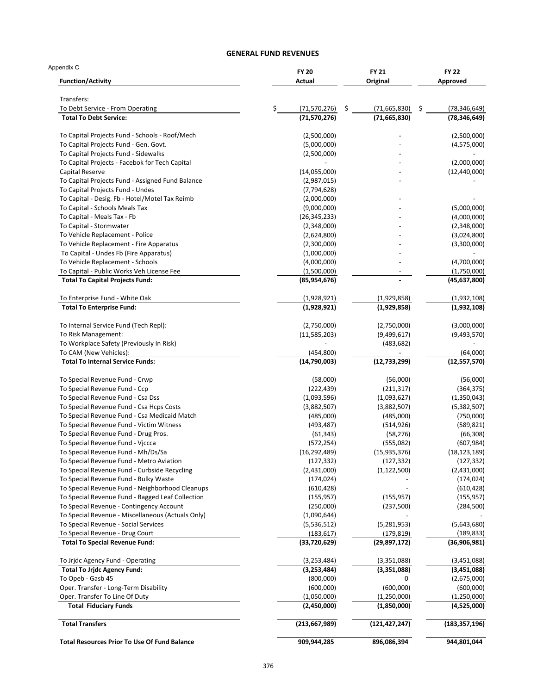| Appendix C<br><b>Function/Activity</b>                                   | <b>FY 20</b><br>Actual     | <b>FY 21</b><br>Original     | <b>FY 22</b><br>Approved   |
|--------------------------------------------------------------------------|----------------------------|------------------------------|----------------------------|
|                                                                          |                            |                              |                            |
| Transfers:<br>To Debt Service - From Operating                           | \$<br>\$<br>(71, 570, 276) | \$<br>(71,665,830)           | (78, 346, 649)             |
| <b>Total To Debt Service:</b>                                            | (71, 570, 276)             | (71, 665, 830)               | (78, 346, 649)             |
| To Capital Projects Fund - Schools - Roof/Mech                           | (2,500,000)                |                              | (2,500,000)                |
| To Capital Projects Fund - Gen. Govt.                                    | (5,000,000)                |                              | (4,575,000)                |
| To Capital Projects Fund - Sidewalks                                     | (2,500,000)                |                              |                            |
| To Capital Projects - Facebok for Tech Capital                           |                            |                              | (2,000,000)                |
| Capital Reserve                                                          | (14,055,000)               |                              | (12, 440, 000)             |
| To Capital Projects Fund - Assigned Fund Balance                         | (2,987,015)                |                              |                            |
| To Capital Projects Fund - Undes                                         | (7, 794, 628)              |                              |                            |
| To Capital - Desig. Fb - Hotel/Motel Tax Reimb                           | (2,000,000)                |                              |                            |
| To Capital - Schools Meals Tax                                           | (9,000,000)                |                              | (5,000,000)                |
| To Capital - Meals Tax - Fb                                              | (26, 345, 233)             |                              | (4,000,000)                |
| To Capital - Stormwater                                                  | (2,348,000)                |                              | (2,348,000)                |
| To Vehicle Replacement - Police                                          | (2,624,800)                |                              | (3,024,800)                |
| To Vehicle Replacement - Fire Apparatus                                  | (2,300,000)                |                              | (3,300,000)                |
| To Capital - Undes Fb (Fire Apparatus)                                   | (1,000,000)                |                              |                            |
| To Vehicle Replacement - Schools                                         | (4,000,000)                |                              | (4,700,000)                |
| To Capital - Public Works Veh License Fee                                | (1,500,000)                |                              | (1,750,000)                |
| <b>Total To Capital Projects Fund:</b>                                   | (85, 954, 676)             |                              | (45, 637, 800)             |
| To Enterprise Fund - White Oak                                           | (1,928,921)                | (1,929,858)                  | (1,932,108)                |
| <b>Total To Enterprise Fund:</b>                                         | (1,928,921)                | (1,929,858)                  | (1,932,108)                |
| To Internal Service Fund (Tech Repl):                                    | (2,750,000)                | (2,750,000)                  | (3,000,000)                |
| To Risk Management:                                                      | (11,585,203)               | (9,499,617)                  | (9,493,570)                |
| To Workplace Safety (Previously In Risk)                                 |                            | (483, 682)                   |                            |
| To CAM (New Vehicles):                                                   | (454, 800)                 |                              | (64,000)                   |
| <b>Total To Internal Service Funds:</b>                                  | (14,790,003)               | (12, 733, 299)               | (12, 557, 570)             |
| To Special Revenue Fund - Crwp                                           | (58,000)                   | (56,000)                     | (56,000)                   |
| To Special Revenue Fund - Ccp                                            | (222, 439)                 | (211, 317)                   | (364, 375)                 |
| To Special Revenue Fund - Csa Dss                                        | (1,093,596)                | (1,093,627)                  | (1,350,043)                |
| To Special Revenue Fund - Csa Hcps Costs                                 | (3,882,507)                | (3,882,507)                  | (5,382,507)                |
| To Special Revenue Fund - Csa Medicaid Match                             | (485,000)                  | (485,000)                    | (750,000)                  |
| To Special Revenue Fund - Victim Witness                                 | (493, 487)                 | (514, 926)                   | (589, 821)                 |
| To Special Revenue Fund - Drug Pros.                                     | (61, 343)                  | (58, 276)                    | (66, 308)                  |
| To Special Revenue Fund - Viccca                                         | (572, 254)                 | (555,082)                    | (607, 984)                 |
| To Special Revenue Fund - Mh/Ds/Sa                                       | (16, 292, 489)             | (15, 935, 376)               | (18, 123, 189)             |
| To Special Revenue Fund - Metro Aviation                                 | (127, 332)                 | (127, 332)                   | (127, 332)                 |
| To Special Revenue Fund - Curbside Recycling                             | (2,431,000)                | (1, 122, 500)                | (2,431,000)                |
| To Special Revenue Fund - Bulky Waste                                    | (174, 024)                 |                              | (174,024)                  |
| To Special Revenue Fund - Neighborhood Cleanups                          | (610, 428)                 |                              | (610, 428)                 |
| To Special Revenue Fund - Bagged Leaf Collection                         | (155, 957)                 | (155, 957)                   | (155, 957)                 |
| To Special Revenue - Contingency Account                                 | (250,000)                  | (237,500)                    | (284, 500)                 |
| To Special Revenue - Miscellaneous (Actuals Only)                        | (1,090,644)                |                              |                            |
| To Special Revenue - Social Services                                     | (5,536,512)                | (5,281,953)                  | (5,643,680)                |
| To Special Revenue - Drug Court<br><b>Total To Special Revenue Fund:</b> | (183, 617)<br>(33,720,629) | (179, 819)<br>(29, 897, 172) | (189,833)<br>(36,906,981)  |
|                                                                          |                            |                              |                            |
| To Jrjdc Agency Fund - Operating                                         | (3, 253, 484)              | (3,351,088)                  | (3,451,088)                |
| <b>Total To Jrjdc Agency Fund:</b>                                       | (3,253,484)                | (3,351,088)                  | (3,451,088)                |
| To Opeb - Gasb 45                                                        | (800,000)                  | 0                            | (2,675,000)                |
| Oper. Transfer - Long-Term Disability                                    | (600,000)                  | (600,000)                    | (600,000)                  |
| Oper. Transfer To Line Of Duty<br><b>Total Fiduciary Funds</b>           | (1,050,000)<br>(2,450,000) | (1,250,000)<br>(1,850,000)   | (1,250,000)<br>(4,525,000) |
| <b>Total Transfers</b>                                                   | (213, 667, 989)            | (121, 427, 247)              | (183, 357, 196)            |
| <b>Total Resources Prior To Use Of Fund Balance</b>                      | 909,944,285                | 896,086,394                  | 944,801,044                |